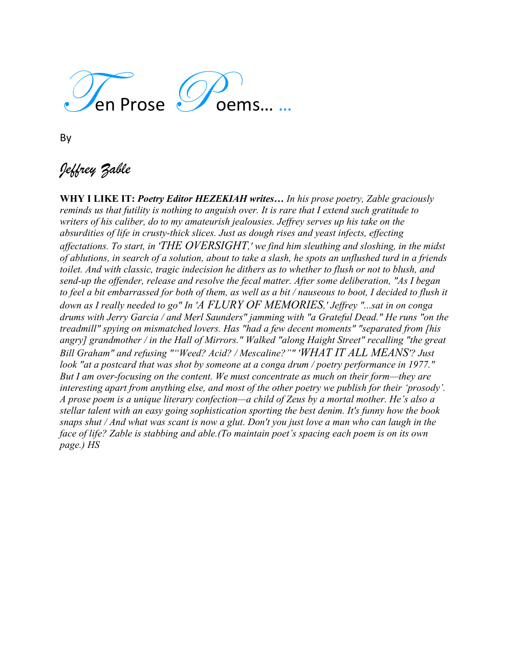

By

# *Jeffrey Zable*

**WHY I LIKE IT:** *Poetry Editor HEZEKIAH writes… In his prose poetry, Zable graciously reminds us that futility is nothing to anguish over. It is rare that I extend such gratitude to writers of his caliber, do to my amateurish jealousies. Jeffrey serves up his take on the absurdities of life in crusty-thick slices. Just as dough rises and yeast infects, effecting affectations. To start, in 'THE OVERSIGHT,' we find him sleuthing and sloshing, in the midst of ablutions, in search of a solution, about to take a slash, he spots an unflushed turd in a friends toilet. And with classic, tragic indecision he dithers as to whether to flush or not to blush, and send-up the offender, release and resolve the fecal matter. After some deliberation, "As I began to feel a bit embarrassed for both of them, as well as a bit / nauseous to boot, I decided to flush it down as I really needed to go" In 'A FLURY OF MEMORIES,' Jeffrey "...sat in on conga drums with Jerry Garcia / and Merl Saunders" jamming with "a Grateful Dead." He runs "on the treadmill" spying on mismatched lovers. Has "had a few decent moments" "separated from [his angry] grandmother / in the Hall of Mirrors." Walked "along Haight Street" recalling "the great Bill Graham" and refusing ""Weed? Acid? / Mescaline?"" 'WHAT IT ALL MEANS'? Just look "at a postcard that was shot by someone at a conga drum / poetry performance in 1977." But I am over-focusing on the content. We must concentrate as much on their form—they are interesting apart from anything else, and most of the other poetry we publish for their 'prosody'. A prose poem is a unique literary confection—a child of Zeus by a mortal mother. He's also a stellar talent with an easy going sophistication sporting the best denim. It's funny how the book snaps shut / And what was scant is now a glut. Don't you just love a man who can laugh in the face of life? Zable is stabbing and able.(To maintain poet's spacing each poem is on its own page.) HS*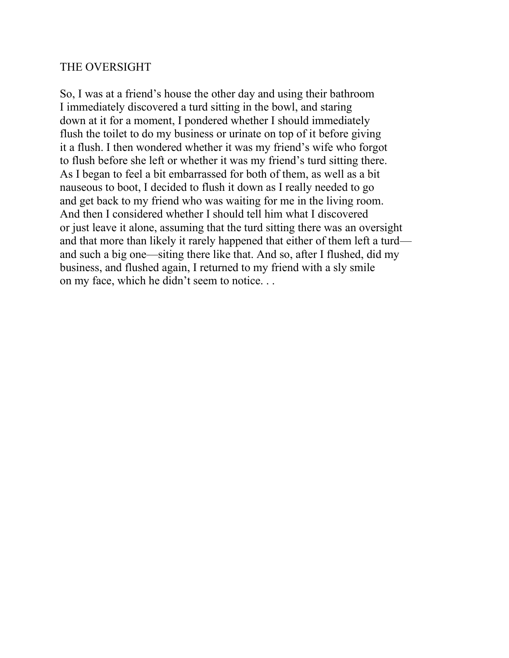#### THE OVERSIGHT

So, I was at a friend's house the other day and using their bathroom I immediately discovered a turd sitting in the bowl, and staring down at it for a moment, I pondered whether I should immediately flush the toilet to do my business or urinate on top of it before giving it a flush. I then wondered whether it was my friend's wife who forgot to flush before she left or whether it was my friend's turd sitting there. As I began to feel a bit embarrassed for both of them, as well as a bit nauseous to boot, I decided to flush it down as I really needed to go and get back to my friend who was waiting for me in the living room. And then I considered whether I should tell him what I discovered or just leave it alone, assuming that the turd sitting there was an oversight and that more than likely it rarely happened that either of them left a turd and such a big one—siting there like that. And so, after I flushed, did my business, and flushed again, I returned to my friend with a sly smile on my face, which he didn't seem to notice. . .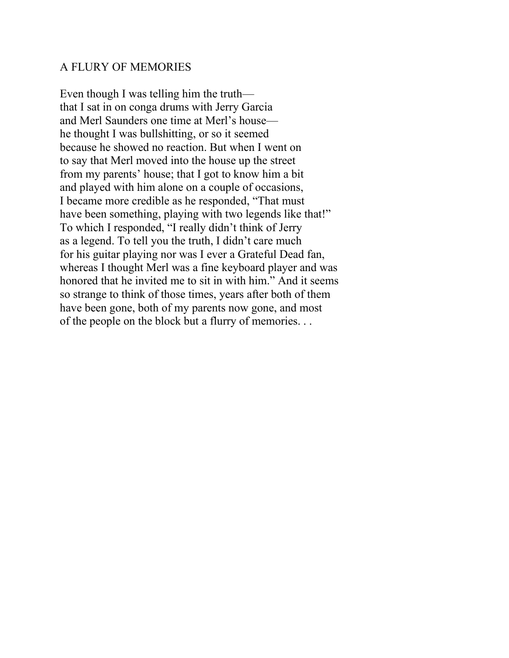#### A FLURY OF MEMORIES

Even though I was telling him the truth that I sat in on conga drums with Jerry Garcia and Merl Saunders one time at Merl's house he thought I was bullshitting, or so it seemed because he showed no reaction. But when I went on to say that Merl moved into the house up the street from my parents' house; that I got to know him a bit and played with him alone on a couple of occasions, I became more credible as he responded, "That must have been something, playing with two legends like that!" To which I responded, "I really didn't think of Jerry as a legend. To tell you the truth, I didn't care much for his guitar playing nor was I ever a Grateful Dead fan, whereas I thought Merl was a fine keyboard player and was honored that he invited me to sit in with him." And it seems so strange to think of those times, years after both of them have been gone, both of my parents now gone, and most of the people on the block but a flurry of memories. . .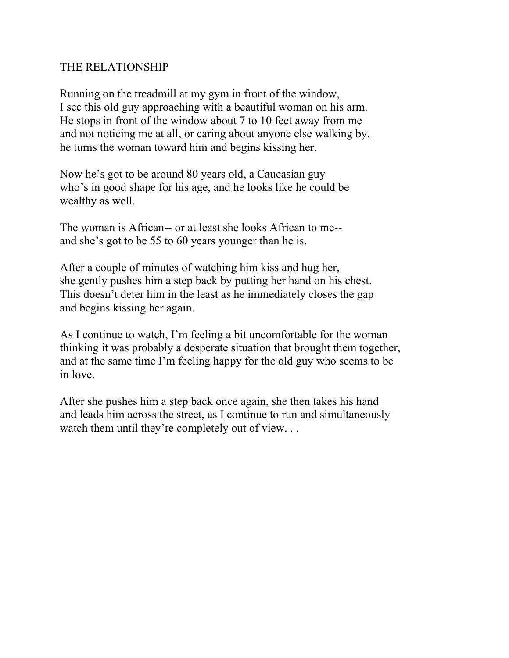# THE RELATIONSHIP

Running on the treadmill at my gym in front of the window, I see this old guy approaching with a beautiful woman on his arm. He stops in front of the window about 7 to 10 feet away from me and not noticing me at all, or caring about anyone else walking by, he turns the woman toward him and begins kissing her.

Now he's got to be around 80 years old, a Caucasian guy who's in good shape for his age, and he looks like he could be wealthy as well.

The woman is African-- or at least she looks African to me- and she's got to be 55 to 60 years younger than he is.

After a couple of minutes of watching him kiss and hug her, she gently pushes him a step back by putting her hand on his chest. This doesn't deter him in the least as he immediately closes the gap and begins kissing her again.

As I continue to watch, I'm feeling a bit uncomfortable for the woman thinking it was probably a desperate situation that brought them together, and at the same time I'm feeling happy for the old guy who seems to be in love.

After she pushes him a step back once again, she then takes his hand and leads him across the street, as I continue to run and simultaneously watch them until they're completely out of view...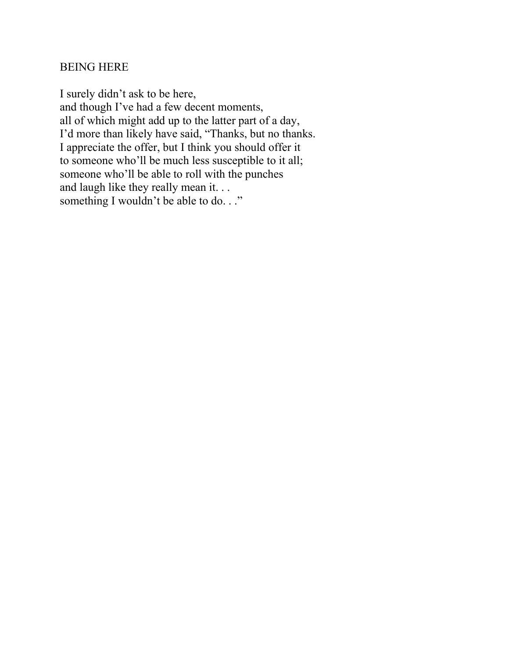# BEING HERE

I surely didn't ask to be here, and though I've had a few decent moments, all of which might add up to the latter part of a day, I'd more than likely have said, "Thanks, but no thanks. I appreciate the offer, but I think you should offer it to someone who'll be much less susceptible to it all; someone who'll be able to roll with the punches and laugh like they really mean it. . . something I wouldn't be able to do..."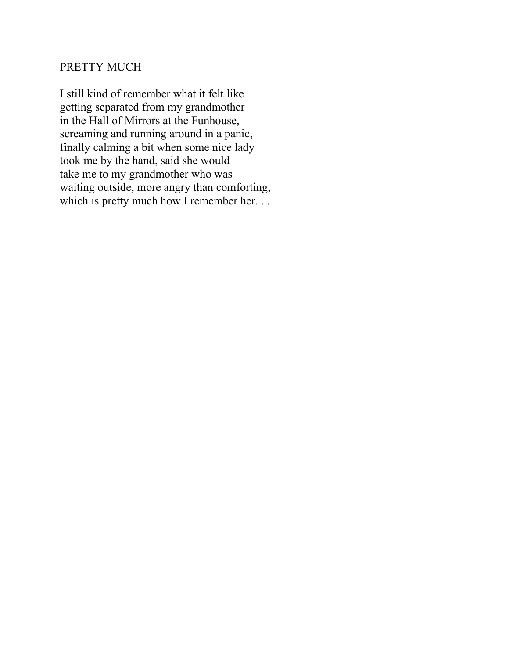# PRETTY MUCH

I still kind of remember what it felt like getting separated from my grandmother in the Hall of Mirrors at the Funhouse, screaming and running around in a panic, finally calming a bit when some nice lady took me by the hand, said she would take me to my grandmother who was waiting outside, more angry than comforting, which is pretty much how I remember her. . .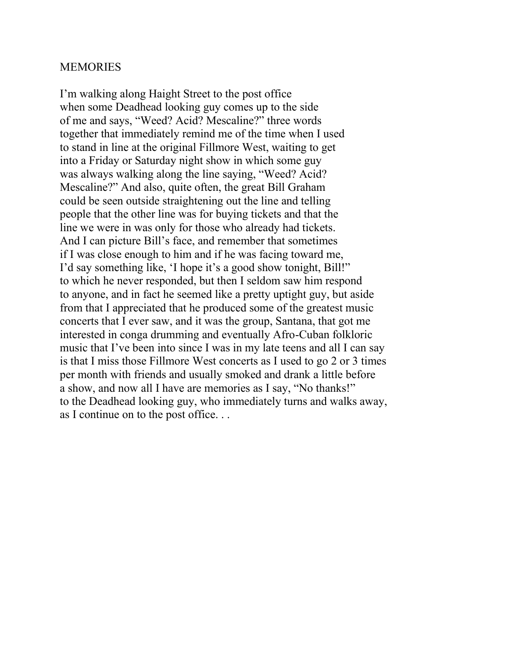#### **MEMORIES**

I'm walking along Haight Street to the post office when some Deadhead looking guy comes up to the side of me and says, "Weed? Acid? Mescaline?" three words together that immediately remind me of the time when I used to stand in line at the original Fillmore West, waiting to get into a Friday or Saturday night show in which some guy was always walking along the line saying, "Weed? Acid? Mescaline?" And also, quite often, the great Bill Graham could be seen outside straightening out the line and telling people that the other line was for buying tickets and that the line we were in was only for those who already had tickets. And I can picture Bill's face, and remember that sometimes if I was close enough to him and if he was facing toward me, I'd say something like, 'I hope it's a good show tonight, Bill!" to which he never responded, but then I seldom saw him respond to anyone, and in fact he seemed like a pretty uptight guy, but aside from that I appreciated that he produced some of the greatest music concerts that I ever saw, and it was the group, Santana, that got me interested in conga drumming and eventually Afro-Cuban folkloric music that I've been into since I was in my late teens and all I can say is that I miss those Fillmore West concerts as I used to go 2 or 3 times per month with friends and usually smoked and drank a little before a show, and now all I have are memories as I say, "No thanks!" to the Deadhead looking guy, who immediately turns and walks away, as I continue on to the post office. . .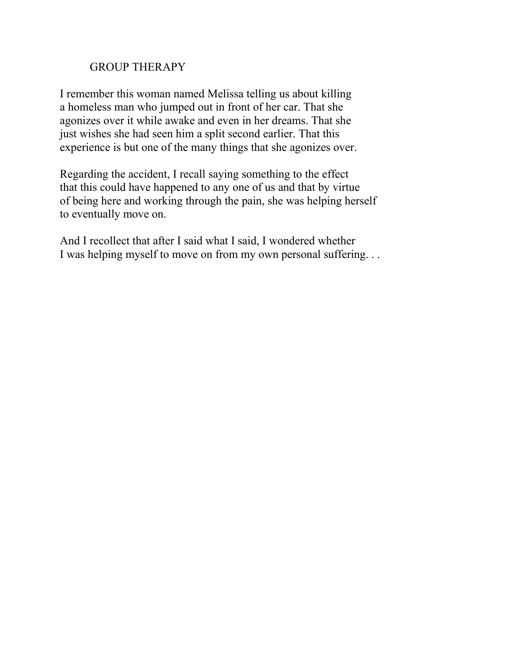# GROUP THERAPY

I remember this woman named Melissa telling us about killing a homeless man who jumped out in front of her car. That she agonizes over it while awake and even in her dreams. That she just wishes she had seen him a split second earlier. That this experience is but one of the many things that she agonizes over.

Regarding the accident, I recall saying something to the effect that this could have happened to any one of us and that by virtue of being here and working through the pain, she was helping herself to eventually move on.

And I recollect that after I said what I said, I wondered whether I was helping myself to move on from my own personal suffering. . .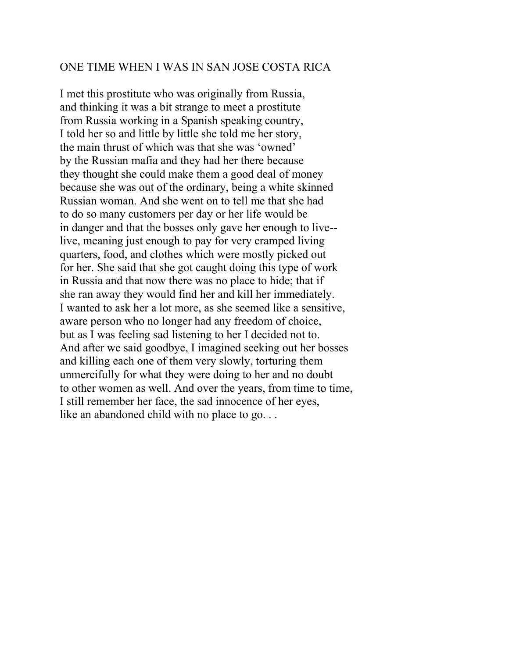#### ONE TIME WHEN I WAS IN SAN JOSE COSTA RICA

I met this prostitute who was originally from Russia, and thinking it was a bit strange to meet a prostitute from Russia working in a Spanish speaking country, I told her so and little by little she told me her story, the main thrust of which was that she was 'owned' by the Russian mafia and they had her there because they thought she could make them a good deal of money because she was out of the ordinary, being a white skinned Russian woman. And she went on to tell me that she had to do so many customers per day or her life would be in danger and that the bosses only gave her enough to live- live, meaning just enough to pay for very cramped living quarters, food, and clothes which were mostly picked out for her. She said that she got caught doing this type of work in Russia and that now there was no place to hide; that if she ran away they would find her and kill her immediately. I wanted to ask her a lot more, as she seemed like a sensitive, aware person who no longer had any freedom of choice, but as I was feeling sad listening to her I decided not to. And after we said goodbye, I imagined seeking out her bosses and killing each one of them very slowly, torturing them unmercifully for what they were doing to her and no doubt to other women as well. And over the years, from time to time, I still remember her face, the sad innocence of her eyes, like an abandoned child with no place to go...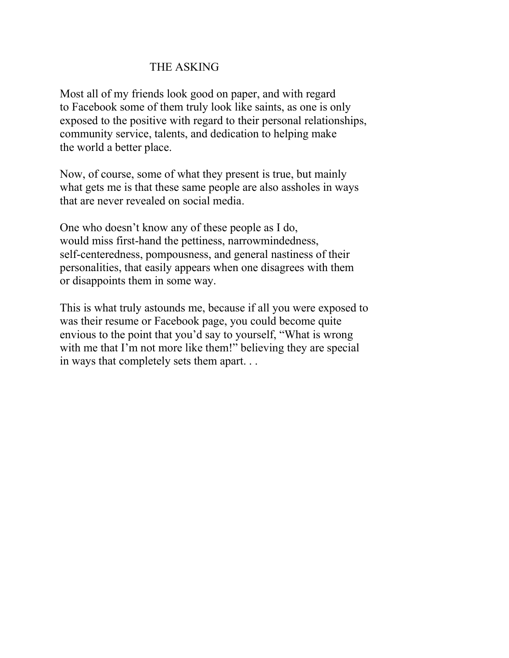# THE ASKING

Most all of my friends look good on paper, and with regard to Facebook some of them truly look like saints, as one is only exposed to the positive with regard to their personal relationships, community service, talents, and dedication to helping make the world a better place.

Now, of course, some of what they present is true, but mainly what gets me is that these same people are also assholes in ways that are never revealed on social media.

One who doesn't know any of these people as I do, would miss first-hand the pettiness, narrowmindedness, self-centeredness, pompousness, and general nastiness of their personalities, that easily appears when one disagrees with them or disappoints them in some way.

This is what truly astounds me, because if all you were exposed to was their resume or Facebook page, you could become quite envious to the point that you'd say to yourself, "What is wrong with me that I'm not more like them!" believing they are special in ways that completely sets them apart. . .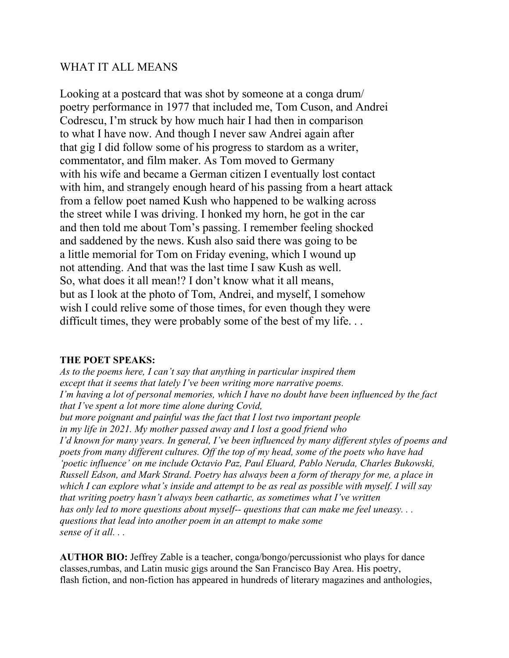### WHAT IT ALL MEANS

Looking at a postcard that was shot by someone at a conga drum/ poetry performance in 1977 that included me, Tom Cuson, and Andrei Codrescu, I'm struck by how much hair I had then in comparison to what I have now. And though I never saw Andrei again after that gig I did follow some of his progress to stardom as a writer, commentator, and film maker. As Tom moved to Germany with his wife and became a German citizen I eventually lost contact with him, and strangely enough heard of his passing from a heart attack from a fellow poet named Kush who happened to be walking across the street while I was driving. I honked my horn, he got in the car and then told me about Tom's passing. I remember feeling shocked and saddened by the news. Kush also said there was going to be a little memorial for Tom on Friday evening, which I wound up not attending. And that was the last time I saw Kush as well. So, what does it all mean!? I don't know what it all means, but as I look at the photo of Tom, Andrei, and myself, I somehow wish I could relive some of those times, for even though they were difficult times, they were probably some of the best of my life...

#### **THE POET SPEAKS:**

*As to the poems here, I can't say that anything in particular inspired them except that it seems that lately I've been writing more narrative poems. I'm having a lot of personal memories, which I have no doubt have been influenced by the fact that I've spent a lot more time alone during Covid, but more poignant and painful was the fact that I lost two important people in my life in 2021. My mother passed away and I lost a good friend who I'd known for many years. In general, I've been influenced by many different styles of poems and poets from many different cultures. Off the top of my head, some of the poets who have had 'poetic influence' on me include Octavio Paz, Paul Eluard, Pablo Neruda, Charles Bukowski, Russell Edson, and Mark Strand. Poetry has always been a form of therapy for me, a place in which I can explore what's inside and attempt to be as real as possible with myself. I will say that writing poetry hasn't always been cathartic, as sometimes what I've written has only led to more questions about myself-- questions that can make me feel uneasy. . . questions that lead into another poem in an attempt to make some sense of it all. . .* 

**AUTHOR BIO:** Jeffrey Zable is a teacher, conga/bongo/percussionist who plays for dance classes,rumbas, and Latin music gigs around the San Francisco Bay Area. His poetry, flash fiction, and non-fiction has appeared in hundreds of literary magazines and anthologies,